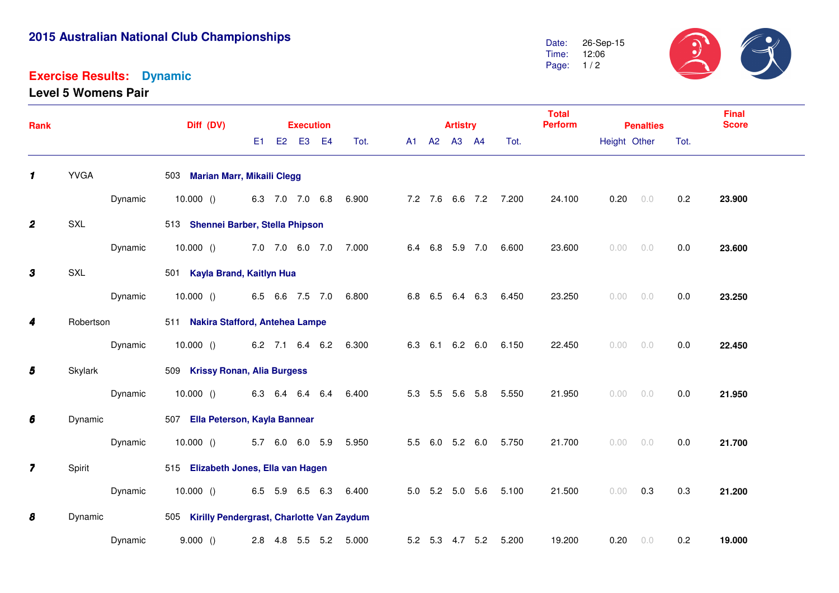# **2015 Australian National Club Championships**

#### **Exercise Results:Dynamic**

**Level 5 Womens Pair**

 $39$ 26-Sep-15Date: Time: 12:06 Page: 1/2

| Rank                    |             |           | Diff (DV)                                     |  |  | <b>Execution</b> |  |                       |  | <b>Artistry</b> |             |                 | <b>Total</b><br><b>Perform</b> |        | <b>Penalties</b> |       | <b>Final</b><br><b>Score</b> |        |
|-------------------------|-------------|-----------|-----------------------------------------------|--|--|------------------|--|-----------------------|--|-----------------|-------------|-----------------|--------------------------------|--------|------------------|-------|------------------------------|--------|
|                         |             |           |                                               |  |  | E1 E2 E3 E4      |  | Tot.                  |  |                 | A1 A2 A3 A4 |                 | Tot.                           |        | Height Other     |       | Tot.                         |        |
| $\mathbf{1}$            | <b>YVGA</b> |           | 503 Marian Marr, Mikaili Clegg                |  |  |                  |  |                       |  |                 |             |                 |                                |        |                  |       |                              |        |
|                         |             | Dynamic   | 10.000 () 6.3 7.0 7.0 6.8 6.900               |  |  |                  |  |                       |  |                 |             |                 | 7.2 7.6 6.6 7.2 7.200          | 24.100 | 0.20             | $0.0$ | 0.2                          | 23.900 |
| $\boldsymbol{2}$        | SXL         |           | 513 Shennei Barber, Stella Phipson            |  |  |                  |  |                       |  |                 |             |                 |                                |        |                  |       |                              |        |
|                         |             | Dynamic   | $10.000$ () $7.0$ $7.0$ 6.0 $7.0$             |  |  |                  |  | 7.000                 |  |                 |             |                 | 6.4 6.8 5.9 7.0 6.600          | 23.600 | 0.00             | 0.0   | 0.0                          | 23.600 |
| $\mathbf{3}$            | SXL         |           | 501 Kayla Brand, Kaitlyn Hua                  |  |  |                  |  |                       |  |                 |             |                 |                                |        |                  |       |                              |        |
|                         |             | Dynamic   | $10.000$ () 6.5 6.6 7.5 7.0                   |  |  |                  |  | 6.800                 |  |                 |             |                 | 6.8 6.5 6.4 6.3 6.450          | 23.250 | 0.00             | $0.0$ | 0.0                          | 23.250 |
| 4                       |             | Robertson | 511 Nakira Stafford, Antehea Lampe            |  |  |                  |  |                       |  |                 |             |                 |                                |        |                  |       |                              |        |
|                         |             | Dynamic   | 10.000 () 6.2 7.1 6.4 6.2 6.300               |  |  |                  |  |                       |  |                 |             |                 | 6.3 6.1 6.2 6.0 6.150          | 22.450 | 0.00             | 0.0   | 0.0                          | 22.450 |
| 5                       | Skylark     |           | 509 Krissy Ronan, Alia Burgess                |  |  |                  |  |                       |  |                 |             |                 |                                |        |                  |       |                              |        |
|                         |             | Dynamic   | 10.000 () 6.3 6.4 6.4 6.4 6.400               |  |  |                  |  |                       |  |                 |             |                 | 5.3 5.5 5.6 5.8 5.550          | 21.950 | 0.00             | 0.0   | 0.0                          | 21.950 |
| 6                       | Dynamic     |           | 507 Ella Peterson, Kayla Bannear              |  |  |                  |  |                       |  |                 |             |                 |                                |        |                  |       |                              |        |
|                         |             | Dynamic   | $10.000$ () $5.7$ 6.0 6.0 5.9                 |  |  |                  |  | 5.950                 |  |                 |             |                 | 5.5 6.0 5.2 6.0 5.750          | 21.700 | 0.00 0.0         |       | 0.0                          | 21.700 |
| $\overline{\mathbf{z}}$ | Spirit      |           | 515 Elizabeth Jones, Ella van Hagen           |  |  |                  |  |                       |  |                 |             |                 |                                |        |                  |       |                              |        |
|                         |             | Dynamic   | 10.000()                                      |  |  |                  |  | 6.5 5.9 6.5 6.3 6.400 |  |                 |             |                 | 5.0 5.2 5.0 5.6 5.100          | 21.500 | 0.00             | 0.3   | 0.3                          | 21.200 |
| 8                       | Dynamic     |           | 505 Kirilly Pendergrast, Charlotte Van Zaydum |  |  |                  |  |                       |  |                 |             |                 |                                |        |                  |       |                              |        |
|                         |             | Dynamic   | 9.000()                                       |  |  |                  |  | 2.8 4.8 5.5 5.2 5.000 |  |                 |             | 5.2 5.3 4.7 5.2 | 5.200                          | 19.200 | 0.20             | $0.0$ | 0.2                          | 19.000 |